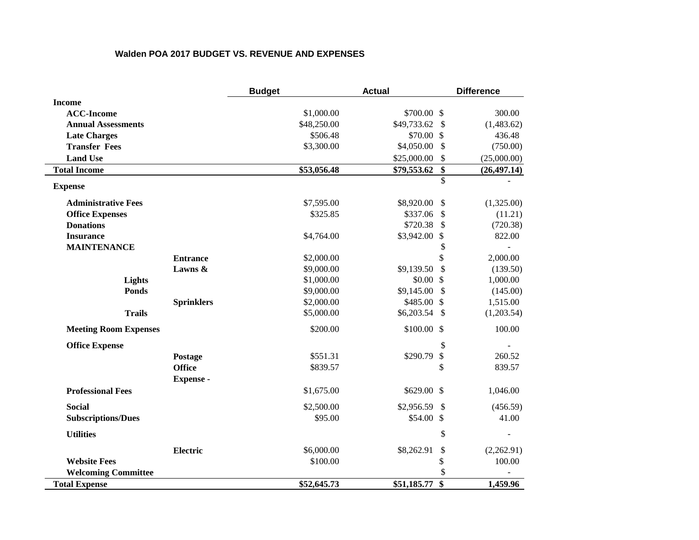## **Walden POA 2017 BUDGET VS. REVENUE AND EXPENSES**

|                              |                   | <b>Budget</b> | <b>Actual</b>  |                           | <b>Difference</b> |
|------------------------------|-------------------|---------------|----------------|---------------------------|-------------------|
| <b>Income</b>                |                   |               |                |                           |                   |
| <b>ACC-Income</b>            |                   | \$1,000.00    | \$700.00 \$    |                           | 300.00            |
| <b>Annual Assessments</b>    |                   | \$48,250.00   | \$49,733.62    | $\mathcal{S}$             | (1,483.62)        |
| <b>Late Charges</b>          |                   | \$506.48      | \$70.00 \$     |                           | 436.48            |
| <b>Transfer Fees</b>         |                   | \$3,300.00    | \$4,050.00     | $\mathcal{S}$             | (750.00)          |
| <b>Land Use</b>              |                   |               | \$25,000.00    | \$                        | (25,000.00)       |
| <b>Total Income</b>          |                   | \$53,056.48   | \$79,553.62    | \$                        | (26, 497.14)      |
| <b>Expense</b>               |                   |               |                | \$                        |                   |
| <b>Administrative Fees</b>   |                   | \$7,595.00    | \$8,920.00     | $\boldsymbol{\mathsf{S}}$ | (1,325.00)        |
| <b>Office Expenses</b>       |                   | \$325.85      | \$337.06       | \$                        | (11.21)           |
| <b>Donations</b>             |                   |               | \$720.38       | \$                        | (720.38)          |
| <b>Insurance</b>             |                   | \$4,764.00    | \$3,942.00     | $\mathcal{S}$             | 822.00            |
| <b>MAINTENANCE</b>           |                   |               |                | \$                        |                   |
|                              | <b>Entrance</b>   | \$2,000.00    |                | \$                        | 2,000.00          |
|                              | Lawns &           | \$9,000.00    | \$9,139.50     | \$                        | (139.50)          |
| Lights                       |                   | \$1,000.00    | \$0.00\$       |                           | 1,000.00          |
| <b>Ponds</b>                 |                   | \$9,000.00    | \$9,145.00     | $\mathcal{S}$             | (145.00)          |
|                              | <b>Sprinklers</b> | \$2,000.00    | \$485.00 \$    |                           | 1,515.00          |
| <b>Trails</b>                |                   | \$5,000.00    | \$6,203.54     | - \$                      | (1,203.54)        |
| <b>Meeting Room Expenses</b> |                   | \$200.00      | \$100.00 \$    |                           | 100.00            |
| <b>Office Expense</b>        |                   |               |                | \$                        |                   |
|                              | Postage           | \$551.31      | \$290.79       | \$                        | 260.52            |
|                              | <b>Office</b>     | \$839.57      |                | \$                        | 839.57            |
|                              | <b>Expense</b> -  |               |                |                           |                   |
| <b>Professional Fees</b>     |                   | \$1,675.00    | \$629.00 \$    |                           | 1,046.00          |
| <b>Social</b>                |                   | \$2,500.00    | $$2,956.59$ \$ |                           | (456.59)          |
| <b>Subscriptions/Dues</b>    |                   | \$95.00       | \$54.00 \$     |                           | 41.00             |
| <b>Utilities</b>             |                   |               |                | \$                        |                   |
|                              | <b>Electric</b>   | \$6,000.00    | \$8,262.91     | \$                        | (2,262.91)        |
| <b>Website Fees</b>          |                   | \$100.00      |                | \$                        | 100.00            |
| <b>Welcoming Committee</b>   |                   |               |                | \$                        |                   |
| <b>Total Expense</b>         |                   | \$52,645.73   | \$51,185.77    | \$                        | 1,459.96          |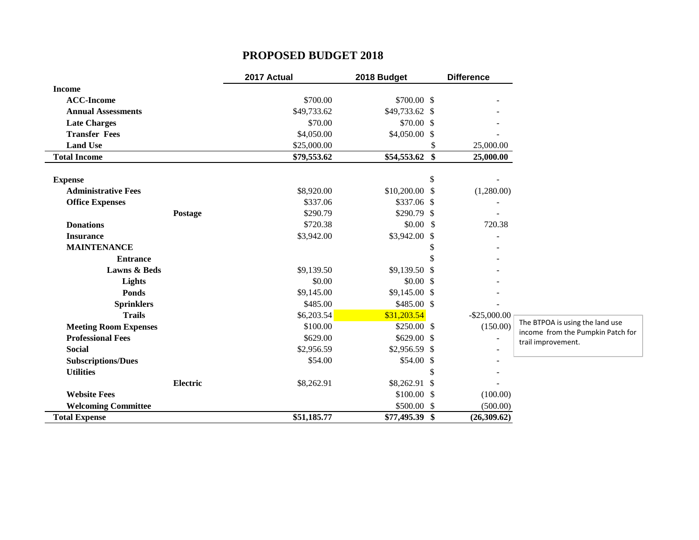## **PROPOSED BUDGET 2018**

|                              | 2017 Actual | 2018 Budget    |                         | <b>Difference</b>        |                                                         |
|------------------------------|-------------|----------------|-------------------------|--------------------------|---------------------------------------------------------|
| <b>Income</b>                |             |                |                         |                          |                                                         |
| <b>ACC-Income</b>            | \$700.00    | \$700.00 \$    |                         |                          |                                                         |
| <b>Annual Assessments</b>    | \$49,733.62 | \$49,733.62 \$ |                         |                          |                                                         |
| <b>Late Charges</b>          | \$70.00     | \$70.00\$      |                         |                          |                                                         |
| <b>Transfer Fees</b>         | \$4,050.00  | $$4,050.00$ \$ |                         |                          |                                                         |
| <b>Land Use</b>              | \$25,000.00 |                | S                       | 25,000.00                |                                                         |
| <b>Total Income</b>          | \$79,553.62 | \$54,553.62    | $\sqrt[6]{\frac{1}{2}}$ | 25,000.00                |                                                         |
| <b>Expense</b>               |             |                | \$                      |                          |                                                         |
| <b>Administrative Fees</b>   | \$8,920.00  | \$10,200.00 \$ |                         | (1,280.00)               |                                                         |
| <b>Office Expenses</b>       | \$337.06    | \$337.06 \$    |                         |                          |                                                         |
| Postage                      | \$290.79    | $$290.79$ \$   |                         |                          |                                                         |
| <b>Donations</b>             | \$720.38    | $$0.00$$ \$    |                         | 720.38                   |                                                         |
| <b>Insurance</b>             | \$3,942.00  | $$3,942.00$ \$ |                         |                          |                                                         |
| <b>MAINTENANCE</b>           |             |                | S                       |                          |                                                         |
| <b>Entrance</b>              |             |                | \$                      |                          |                                                         |
| <b>Lawns &amp; Beds</b>      | \$9,139.50  | $$9,139.50$ \$ |                         |                          |                                                         |
| Lights                       | \$0.00      | \$0.00\$       |                         |                          |                                                         |
| <b>Ponds</b>                 | \$9,145.00  | $$9,145.00$ \$ |                         |                          |                                                         |
| <b>Sprinklers</b>            | \$485.00    | \$485.00 \$    |                         |                          |                                                         |
| <b>Trails</b>                | \$6,203.54  | \$31,203.54    |                         | $-$ \$25,000.00          |                                                         |
| <b>Meeting Room Expenses</b> | \$100.00    | \$250.00\$     |                         | (150.00)                 | The BTPOA is using the land use                         |
| <b>Professional Fees</b>     | \$629.00    | \$629.00\$     |                         | $\overline{\phantom{a}}$ | income from the Pumpkin Patch for<br>trail improvement. |
| <b>Social</b>                | \$2,956.59  | $$2,956.59$ \$ |                         |                          |                                                         |
| <b>Subscriptions/Dues</b>    | \$54.00     | \$54.00\$      |                         |                          |                                                         |
| <b>Utilities</b>             |             |                | \$                      |                          |                                                         |
| <b>Electric</b>              | \$8,262.91  | $$8,262.91$ \$ |                         |                          |                                                         |
| <b>Website Fees</b>          |             | \$100.00\$     |                         | (100.00)                 |                                                         |
| <b>Welcoming Committee</b>   |             | \$500.00 \$    |                         | (500.00)                 |                                                         |
| <b>Total Expense</b>         | \$51,185.77 | \$77,495.39 \$ |                         | (26,309.62)              |                                                         |